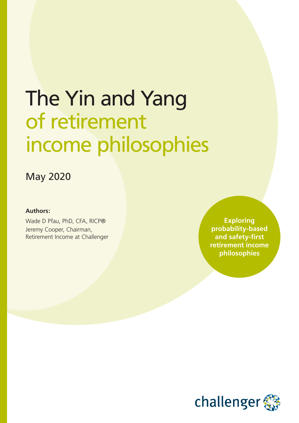# The Yin and Yang of retirement income philosophies

### May 2020

#### **Authors:**

Wade D Pfau, PhD, CFA, RICP® Jeremy Cooper, Chairman, Retirement Income at Challenger

**Exploring probability-based and safety-first retirement income philosophies**

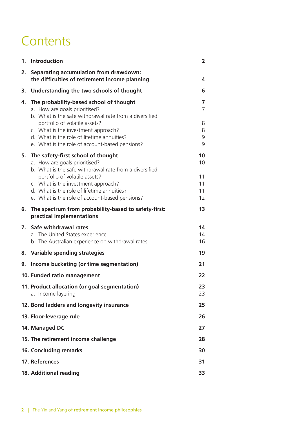### **Contents**

|    | 1. Introduction                                                                                                                                                                                                                                                                                       | $\overline{2}$                   |
|----|-------------------------------------------------------------------------------------------------------------------------------------------------------------------------------------------------------------------------------------------------------------------------------------------------------|----------------------------------|
| 2. | Separating accumulation from drawdown:<br>the difficulties of retirement income planning                                                                                                                                                                                                              | 4                                |
| 3. | Understanding the two schools of thought                                                                                                                                                                                                                                                              | 6                                |
| 4. | The probability-based school of thought<br>a. How are goals prioritised?<br>b. What is the safe withdrawal rate from a diversified<br>portfolio of volatile assets?                                                                                                                                   | 7<br>$\overline{7}$<br>8         |
|    | c. What is the investment approach?<br>d. What is the role of lifetime annuities?<br>e. What is the role of account-based pensions?                                                                                                                                                                   | 8<br>9<br>9                      |
| 5. | The safety-first school of thought<br>a. How are goals prioritised?<br>b. What is the safe withdrawal rate from a diversified<br>portfolio of volatile assets?<br>c. What is the investment approach?<br>d. What is the role of lifetime annuities?<br>e. What is the role of account-based pensions? | 10<br>10<br>11<br>11<br>11<br>12 |
| 6. | The spectrum from probability-based to safety-first:<br>practical implementations                                                                                                                                                                                                                     | 13                               |
| 7. | Safe withdrawal rates<br>a. The United States experience<br>b. The Australian experience on withdrawal rates                                                                                                                                                                                          | 14<br>14<br>16                   |
|    | 8. Variable spending strategies                                                                                                                                                                                                                                                                       | 19                               |
| 9. | Income bucketing (or time segmentation)                                                                                                                                                                                                                                                               | 21                               |
|    | 10. Funded ratio management                                                                                                                                                                                                                                                                           | 22                               |
|    | 11. Product allocation (or goal segmentation)<br>a. Income layering                                                                                                                                                                                                                                   | 23<br>23                         |
|    | 12. Bond ladders and longevity insurance                                                                                                                                                                                                                                                              | 25                               |
|    | 13. Floor-leverage rule                                                                                                                                                                                                                                                                               | 26                               |
|    | 14. Managed DC                                                                                                                                                                                                                                                                                        | 27                               |
|    | 15. The retirement income challenge                                                                                                                                                                                                                                                                   | 28                               |
|    | <b>16. Concluding remarks</b>                                                                                                                                                                                                                                                                         | 30                               |
|    | 17. References                                                                                                                                                                                                                                                                                        | 31                               |
|    | 18. Additional reading                                                                                                                                                                                                                                                                                | 33                               |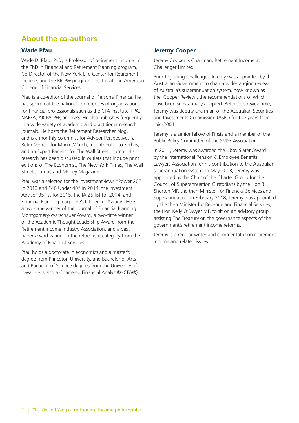### **About the co-authors**

#### **Wade Pfau**

Wade D. Pfau, PhD, is Professor of retirement income in the PhD in Financial and Retirement Planning program, Co-Director of the New York Life Center for Retirement Income, and the RICP® program director at The American College of Financial Services.

Pfau is a co-editor of the Journal of Personal Finance. He has spoken at the national conferences of organizations for financial professionals such as the CFA Institute, FPA, NAPFA, AICPA-PFP, and AFS. He also publishes frequently in a wide variety of academic and practitioner research journals. He hosts the Retirement Researcher blog, and is a monthly columnist for Advisor Perspectives, a RetireMentor for MarketWatch, a contributor to Forbes, and an Expert Panelist for The Wall Street Journal. His research has been discussed in outlets that include print editions of The Economist, The New York Times, The Wall Street Journal, and Money Magazine.

Pfau was a selectee for the InvestmentNews "Power 20" in 2013 and "40 Under 40" in 2014, the Investment Advisor 35 list for 2015, the IA 25 list for 2014, and Financial Planning magazine's Influencer Awards. He is a two-time winner of the Journal of Financial Planning Montgomery-Warschauer Award, a two-time winner of the Academic Thought Leadership Award from the Retirement Income Industry Association, and a best paper award winner in the retirement category from the Academy of Financial Services.

Pfau holds a doctorate in economics and a master's degree from Princeton University, and Bachelor of Arts and Bachelor of Science degrees from the University of Iowa. He is also a Chartered Financial Analyst® (CFA®).

#### **Jeremy Cooper**

Jeremy Cooper is Chairman, Retirement Income at Challenger Limited.

Prior to joining Challenger, Jeremy was appointed by the Australian Government to chair a wide-ranging review of Australia's superannuation system, now known as the 'Cooper Review', the recommendations of which have been substantially adopted. Before his review role, Jeremy was deputy chairman of the Australian Securities and Investments Commission (ASIC) for five years from mid-2004.

Jeremy is a senior fellow of Finsia and a member of the Public Policy Committee of the SMSF Association.

In 2011, Jeremy was awarded the Libby Slater Award by the International Pension & Employee Benefits Lawyers Association for his contribution to the Australian superannuation system. In May 2013, Jeremy was appointed as the Chair of the Charter Group for the Council of Superannuation Custodians by the Hon Bill Shorten MP, the then Minister for Financial Services and Superannuation. In February 2018, Jeremy was appointed by the then Minister for Revenue and Financial Services, the Hon Kelly O'Dwyer MP, to sit on an advisory group assisting The Treasury on the governance aspects of the government's retirement income reforms.

Jeremy is a regular writer and commentator on retirement income and related issues.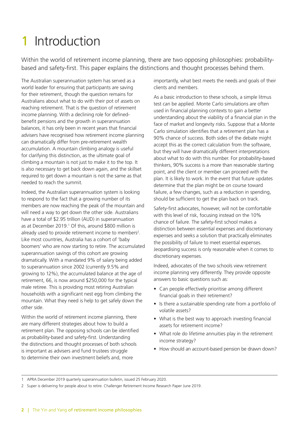## 1 Introduction

Within the world of retirement income planning, there are two opposing philosophies: probabilitybased and safety-first. This paper explains the distinctions and thought processes behind them.

The Australian superannuation system has served as a world leader for ensuring that participants are saving for their retirement, though the question remains for Australians about what to do with their pot of assets on reaching retirement. That is the question of retirement income planning. With a declining role for definedbenefit pensions and the growth in superannuation balances, it has only been in recent years that financial advisers have recognised how retirement income planning can dramatically differ from pre-retirement wealth accumulation. A mountain climbing analogy is useful for clarifying this distinction, as the ultimate goal of climbing a mountain is not just to make it to the top. It is also necessary to get back down again, and the skillset required to get down a mountain is not the same as that needed to reach the summit.

Indeed, the Australian superannuation system is looking to respond to the fact that a growing number of its members are now reaching the peak of the mountain and will need a way to get down the other side. Australians have a total of \$2.95 trillion (AUD) in superannuation as at December 2019.<sup>1</sup> Of this, around \$800 million is already used to provide retirement income to members<sup>2</sup>. Like most countries, Australia has a cohort of 'baby boomers' who are now starting to retire. The accumulated superannuation savings of this cohort are growing dramatically. With a mandated 9% of salary being added to superannuation since 2002 (currently 9.5% and growing to 12%), the accumulated balance at the age of retirement, 66, is now around \$250,000 for the typical male retiree. This is providing most retiring Australian households with a significant nest egg from climbing the mountain. What they need is help to get safely down the other side.

Within the world of retirement income planning, there are many different strategies about how to build a retirement plan. The opposing schools can be identified as probability-based and safety-first. Understanding the distinctions and thought processes of both schools is important as advisers and fund trustees struggle to determine their own investment beliefs and, more

importantly, what best meets the needs and goals of their clients and members.

As a basic introduction to these schools, a simple litmus test can be applied. Monte Carlo simulations are often used in financial planning contexts to gain a better understanding about the viability of a financial plan in the face of market and longevity risks. Suppose that a Monte Carlo simulation identifies that a retirement plan has a 90% chance of success. Both sides of the debate might accept this as the correct calculation from the software, but they will have dramatically different interpretations about what to do with this number. For probability-based thinkers, 90% success is a more than reasonable starting point, and the client or member can proceed with the plan. It is likely to work. In the event that future updates determine that the plan might be on course toward failure, a few changes, such as a reduction in spending, should be sufficient to get the plan back on track.

Safety-first advocates, however, will not be comfortable with this level of risk, focusing instead on the 10% chance of failure. The safety-first school makes a distinction between essential expenses and discretionary expenses and seeks a solution that practically eliminates the possibility of failure to meet essential expenses. Jeopardising success is only reasonable when it comes to discretionary expenses.

Indeed, advocates of the two schools view retirement income planning very differently. They provide opposite answers to basic questions such as:

- Can people effectively prioritise among different financial goals in their retirement?
- Is there a sustainable spending rate from a portfolio of volatile assets?
- What is the best way to approach investing financial assets for retirement income?
- What role do lifetime annuities play in the retirement income strategy?
- How should an account-based pension be drawn down?

<sup>1</sup> APRA December 2019 quarterly superannuation bulletin, issued 25 February 2020.

<sup>2</sup> Super is delivering for people about to retire. Challenger Retirement Income Research Paper June 2019.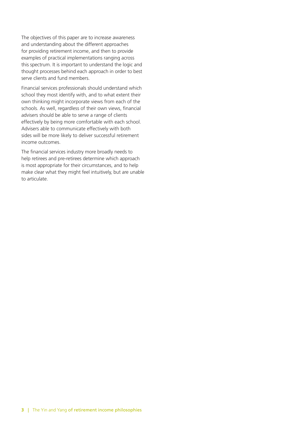The objectives of this paper are to increase awareness and understanding about the different approaches for providing retirement income, and then to provide examples of practical implementations ranging across this spectrum. It is important to understand the logic and thought processes behind each approach in order to best serve clients and fund members.

Financial services professionals should understand which school they most identify with, and to what extent their own thinking might incorporate views from each of the schools. As well, regardless of their own views, financial advisers should be able to serve a range of clients effectively by being more comfortable with each school. Advisers able to communicate effectively with both sides will be more likely to deliver successful retirement income outcomes.

The financial services industry more broadly needs to help retirees and pre-retirees determine which approach is most appropriate for their circumstances, and to help make clear what they might feel intuitively, but are unable to articulate.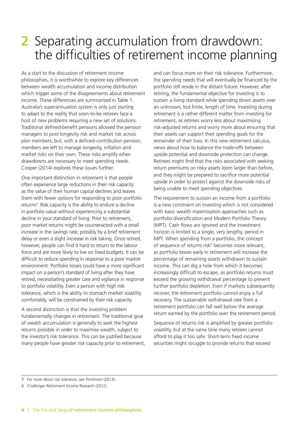### 2 Separating accumulation from drawdown: the difficulties of retirement income planning

As a start to the discussion of retirement income philosophies, it is worthwhile to explore key differences between wealth accumulation and income distribution which trigger some of the disagreements about retirement income. These differences are summarised in Table 1. Australia's superannuation system is only just starting to adapt to the reality that soon-to-be retirees face a host of new problems requiring a new set of solutions. Traditional defined-benefit pensions allowed the pension managers to pool longevity risk and market risk across plan members; but, with a defined-contribution pension, members are left to manage longevity, inflation and market risks on their own. These risks amplify when drawdowns are necessary to meet spending needs. Cooper (2014) explores these issues further.

One important distinction in retirement is that people often experience large reductions in their risk capacity as the value of their human capital declines and leaves them with fewer options for responding to poor portfolio returns<sup>3</sup>. Risk capacity is the ability to endure a decline in portfolio value without experiencing a substantial decline in your standard of living. Prior to retirement, poor market returns might be counteracted with a small increase in the savings rate; possibly by a brief retirement delay or even a slight increase in risk taking. Once retired, however, people can find it hard to return to the labour force and are more likely to live on fixed budgets. It can be difficult to reduce spending in response to a poor market environment. Portfolio losses could have a more significant impact on a person's standard of living after they have retired, necessitating greater care and vigilance in response to portfolio volatility. Even a person with high risk tolerance, which is the ability to stomach market volatility comfortably, will be constrained by their risk capacity.

A second distinction is that the investing problem fundamentally changes in retirement. The traditional goal of wealth accumulation is generally to seek the highest returns possible in order to maximise wealth, subject to the investor's risk tolerance. This can be justified because many people have greater risk capacity prior to retirement,

and can focus more on their risk tolerance. Furthermore, the spending needs that will eventually be financed by the portfolio still reside in the distant future. However, after retiring, the fundamental objective for investing is to sustain a living standard while spending down assets over an unknown, but finite, length of time. Investing during retirement is a rather different matter from investing for retirement, as retirees worry less about maximising risk-adjusted returns and worry more about ensuring that their assets can support their spending goals for the remainder of their lives. In this new retirement calculus, views about how to balance the trade-offs between upside potential and downside protection can change. Retirees might find that the risks associated with seeking return premiums on risky assets loom larger than before, and they might be prepared to sacrifice more potential upside in order to protect against the downside risks of being unable to meet spending objectives.

The requirement to sustain an income from a portfolio is a new constraint on investing which is not considered with basic wealth maximisation approaches such as portfolio diversification and Modern Portfolio Theory (MPT). Cash flows are ignored and the investment horizon is limited to a single, very lengthy, period in MPT. When spending from a portfolio, the concept of sequence of returns risk<sup>4</sup> becomes more relevant, as portfolio losses early in retirement will increase the percentage of remaining assets withdrawn to sustain income. This can dig a hole from which it becomes increasingly difficult to escape, as portfolio returns must exceed the growing withdrawal percentage to prevent further portfolio depletion. Even if markets subsequently recover, the retirement portfolio cannot enjoy a full recovery. The sustainable withdrawal rate from a retirement portfolio can fall well below the average return earned by the portfolio over the retirement period.

Sequence of returns risk is amplified by greater portfolio volatility, but at the same time many retirees cannot afford to play it too safe. Short-term fixed income securities might struggle to provide returns that exceed

<sup>3</sup> For more about risk tolerance, see Tomlinson (2013).

<sup>4</sup> Challenger Retirement Income Research (2012).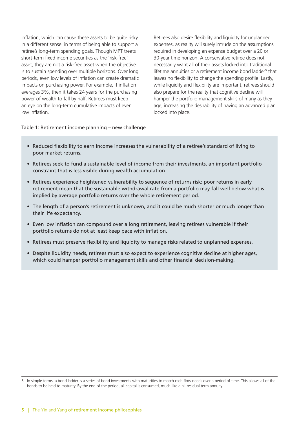inflation, which can cause these assets to be quite risky in a different sense: in terms of being able to support a retiree's long-term spending goals. Though MPT treats short-term fixed income securities as the 'risk-free' asset, they are not a risk-free asset when the objective is to sustain spending over multiple horizons. Over long periods, even low levels of inflation can create dramatic impacts on purchasing power. For example, if inflation averages 3%, then it takes 24 years for the purchasing power of wealth to fall by half. Retirees must keep an eye on the long-term cumulative impacts of even low inflation.

Retirees also desire flexibility and liquidity for unplanned expenses, as reality will surely intrude on the assumptions required in developing an expense budget over a 20 or 30-year time horizon. A conservative retiree does not necessarily want all of their assets locked into traditional lifetime annuities or a retirement income bond ladder<sup>5</sup> that leaves no flexibility to change the spending profile. Lastly, while liquidity and flexibility are important, retirees should also prepare for the reality that cognitive decline will hamper the portfolio management skills of many as they age, increasing the desirability of having an advanced plan locked into place.

#### Table 1: Retirement income planning – new challenge

- Reduced flexibility to earn income increases the vulnerability of a retiree's standard of living to poor market returns.
- Retirees seek to fund a sustainable level of income from their investments, an important portfolio constraint that is less visible during wealth accumulation.
- Retirees experience heightened vulnerability to sequence of returns risk: poor returns in early retirement mean that the sustainable withdrawal rate from a portfolio may fall well below what is implied by average portfolio returns over the whole retirement period.
- The length of a person's retirement is unknown, and it could be much shorter or much longer than their life expectancy.
- Even low inflation can compound over a long retirement, leaving retirees vulnerable if their portfolio returns do not at least keep pace with inflation.
- Retirees must preserve flexibility and liquidity to manage risks related to unplanned expenses.
- Despite liquidity needs, retirees must also expect to experience cognitive decline at higher ages, which could hamper portfolio management skills and other financial decision-making.

<sup>5</sup> In simple terms, a bond ladder is a series of bond investments with maturities to match cash flow needs over a period of time. This allows all of the bonds to be held to maturity. By the end of the period, all capital is consumed, much like a nil-residual term annuity.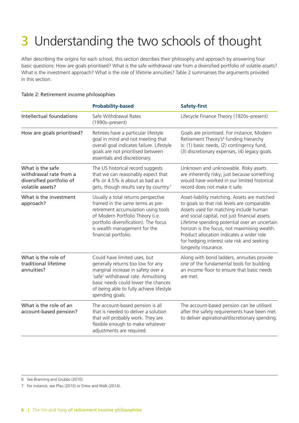## 3 Understanding the two schools of thought

After describing the origins for each school, this section describes their philosophy and approach by answering four basic questions: How are goals prioritised? What is the safe withdrawal rate from a diversified portfolio of volatile assets? What is the investment approach? What is the role of lifetime annuities? Table 2 summarises the arguments provided in this section.

#### Table 2: Retirement income philosophies

|                                                                                                                                                                                                                                                     | <b>Probability-based</b>                                                                                                                                                                                                                             | <b>Safety-first</b>                                                                                                                                                                                                                                                                                                                                                                                          |
|-----------------------------------------------------------------------------------------------------------------------------------------------------------------------------------------------------------------------------------------------------|------------------------------------------------------------------------------------------------------------------------------------------------------------------------------------------------------------------------------------------------------|--------------------------------------------------------------------------------------------------------------------------------------------------------------------------------------------------------------------------------------------------------------------------------------------------------------------------------------------------------------------------------------------------------------|
| Intellectual foundations                                                                                                                                                                                                                            | Safe Withdrawal Rates<br>(1990s-present)                                                                                                                                                                                                             | Lifecycle Finance Theory (1920s-present)                                                                                                                                                                                                                                                                                                                                                                     |
| How are goals prioritised?                                                                                                                                                                                                                          | Retirees have a particular lifestyle<br>goal in mind and not meeting that<br>overall goal indicates failure. Lifestyle<br>goals are not prioritised between<br>essentials and discretionary.                                                         | Goals are prioritised. For instance, Modern<br>Retirement Theory's <sup>6</sup> funding hierarchy<br>is: (1) basic needs, (2) contingency fund,<br>(3) discretionary expenses, (4) legacy goals.                                                                                                                                                                                                             |
| What is the safe<br>The US historical record suggests<br>withdrawal rate from a<br>that we can reasonably expect that<br>4% or 4.5% is about as bad as it<br>diversified portfolio of<br>volatile assets?<br>gets, though results vary by country.7 |                                                                                                                                                                                                                                                      | Unknown and unknowable. Risky assets<br>are inherently risky; just because something<br>would have worked in our limited historical<br>record does not make it safe.                                                                                                                                                                                                                                         |
| What is the investment<br>approach?                                                                                                                                                                                                                 | Usually a total returns perspective<br>framed in the same terms as pre-<br>retirement accumulation using tools<br>of Modern Portfolio Theory (i.e.<br>portfolio diversification). The focus<br>is wealth management for the<br>financial portfolio.  | Asset-liability matching. Assets are matched<br>to goals so that risk levels are comparable.<br>Assets used for matching include human<br>and social capital, not just financial assets.<br>Lifetime spending potential over an uncertain<br>horizon is the focus, not maximising wealth.<br>Product allocation indicates a wider role<br>for hedging interest rate risk and seeking<br>longevity insurance. |
| What is the role of<br>traditional lifetime<br>annuities?                                                                                                                                                                                           | Could have limited uses, but<br>generally returns too low for any<br>marginal increase in safety over a<br>'safe' withdrawal rate. Annuitising<br>basic needs could lower the chances<br>of being able to fully achieve lifestyle<br>spending goals. | Along with bond ladders, annuities provide<br>one of the fundamental tools for building<br>an income floor to ensure that basic needs<br>are met.                                                                                                                                                                                                                                                            |
| What is the role of an<br>account-based pension?                                                                                                                                                                                                    | The account-based pension is all<br>that is needed to deliver a solution<br>that will probably work. They are<br>flexible enough to make whatever<br>adjustments are required.                                                                       | The account-based pension can be utilised<br>after the safety requirements have been met<br>to deliver aspirational/discretionary spending.                                                                                                                                                                                                                                                                  |

6 See Branning and Grubbs (2010).

7 For instance, see Pfau (2010) or Drew and Walk (2014).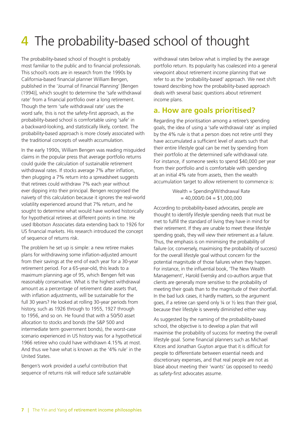## 4 The probability-based school of thought

The probability-based school of thought is probably most familiar to the public and to financial professionals. This school's roots are in research from the 1990s by California-based financial planner William Bengen, published in the 'Journal of Financial Planning' [Bengen (1994)], which sought to determine the 'safe withdrawal rate' from a financial portfolio over a long retirement. Though the term 'safe withdrawal rate' uses the word safe, this is not the safety-first approach, as the probability-based school is comfortable using 'safe' in a backward-looking, and statistically likely, context. The probability-based approach is more closely associated with the traditional concepts of wealth accumulation.

In the early 1990s, William Bengen was reading misguided claims in the popular press that average portfolio returns could guide the calculation of sustainable retirement withdrawal rates. If stocks average 7% after inflation, then plugging a 7% return into a spreadsheet suggests that retirees could withdraw 7% each year without ever dipping into their principal. Bengen recognised the naivety of this calculation because it ignores the real-world volatility experienced around that 7% return, and he sought to determine what would have worked historically for hypothetical retirees at different points in time. He used Ibbotson Associates data extending back to 1926 for US financial markets. His research introduced the concept of sequence of returns risk.

The problem he set up is simple: a new retiree makes plans for withdrawing some inflation-adjusted amount from their savings at the end of each year for a 30-year retirement period. For a 65-year-old, this leads to a maximum planning age of 95, which Bengen felt was reasonably conservative. What is the highest withdrawal amount as a percentage of retirement date assets that, with inflation adjustments, will be sustainable for the full 30 years? He looked at rolling 30-year periods from history, such as 1926 through to 1955, 1927 through to 1956, and so on. He found that with a 50/50 asset allocation to stocks and bonds (the S&P 500 and intermediate term government bonds), the worst-case scenario experienced in US history was for a hypothetical 1966 retiree who could have withdrawn 4.15% at most. And thus we have what is known as the '4% rule' in the United States.

Bengen's work provided a useful contribution that sequence of returns risk will reduce safe sustainable withdrawal rates below what is implied by the average portfolio return. Its popularity has coalesced into a general viewpoint about retirement income planning that we refer to as the 'probability-based' approach. We next shift toward describing how the probability-based approach deals with several basic questions about retirement income plans.

### **a. How are goals prioritised?**

Regarding the prioritisation among a retiree's spending goals, the idea of using a 'safe withdrawal rate' as implied by the 4% rule is that a person does not retire until they have accumulated a sufficient level of assets such that their entire lifestyle goal can be met by spending from their portfolio at the determined safe withdrawal rate. For instance, if someone seeks to spend \$40,000 per year from their portfolio and is comfortable with spending at an initial 4% rate from assets, then the wealth accumulation target to allow retirement to commence is:

> Wealth = Spending/Withdrawal Rate  $= 40,000/0.04 = $1,000,000$

According to probability-based advocates, people are thought to identify lifestyle spending needs that must be met to fulfill the standard of living they have in mind for their retirement. If they are unable to meet these lifestyle spending goals, they will view their retirement as a failure. Thus, the emphasis is on minimising the probability of failure (or, conversely, maximising the probability of success) for the overall lifestyle goal without concern for the potential magnitude of those failures when they happen. For instance, in the influential book, 'The New Wealth Management', Harold Evensky and co-authors argue that clients are generally more sensitive to the probability of meeting their goals than to the magnitude of their shortfall. In the bad luck cases, it hardly matters, so the argument goes, if a retiree can spend only ¼ or ½ less than their goal, because their lifestyle is severely diminished either way.

As suggested by the naming of the probability-based school, the objective is to develop a plan that will maximise the probability of success for meeting the overall lifestyle goal. Some financial planners such as Michael Kitces and Jonathan Guyton argue that it is difficult for people to differentiate between essential needs and discretionary expenses, and that real people are not as blasé about meeting their 'wants' (as opposed to needs) as safety-first advocates assume.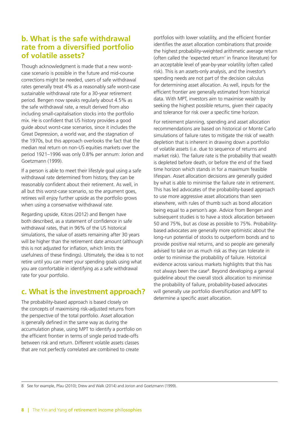### **b. What is the safe withdrawal rate from a diversified portfolio of volatile assets?**

Though acknowledgment is made that a new worstcase scenario is possible in the future and mid-course corrections might be needed, users of safe withdrawal rates generally treat 4% as a reasonably safe worst-case sustainable withdrawal rate for a 30-year retirement period. Bengen now speaks regularly about 4.5% as the safe withdrawal rate, a result derived from also including small-capitalisation stocks into the portfolio mix. He is confident that US history provides a good guide about worst-case scenarios, since it includes the Great Depression, a world war, and the stagnation of the 1970s, but this approach overlooks the fact that the median real return on non-US equities markets over the period 1921–1996 was only 0.8% per annum: Jorion and Goetzmann (1999).

If a person is able to meet their lifestyle goal using a safe withdrawal rate determined from history, they can be reasonably confident about their retirement. As well, in all but this worst-case scenario, so the argument goes, retirees will enjoy further upside as the portfolio grows when using a conservative withdrawal rate.

Regarding upside, Kitces (2012) and Bengen have both described, as a statement of confidence in safe withdrawal rates, that in 96% of the US historical simulations, the value of assets remaining after 30 years will be higher than the retirement date amount (although this is not adjusted for inflation, which limits the usefulness of these findings). Ultimately, the idea is to not retire until you can meet your spending goals using what you are comfortable in identifying as a safe withdrawal rate for your portfolio.

### **c. What is the investment approach?**

The probability-based approach is based closely on the concepts of maximising risk-adjusted returns from the perspective of the total portfolio. Asset allocation is generally defined in the same way as during the accumulation phase, using MPT to identify a portfolio on the efficient frontier in terms of single period trade-offs between risk and return. Different volatile assets classes that are not perfectly correlated are combined to create

portfolios with lower volatility, and the efficient frontier identifies the asset allocation combinations that provide the highest probability-weighted arithmetic average return (often called the 'expected return' in finance literature) for an acceptable level of year-by-year volatility (often called risk). This is an assets-only analysis, and the investor's spending needs are not part of the decision calculus for determining asset allocation. As well, inputs for the efficient frontier are generally estimated from historical data. With MPT, investors aim to maximise wealth by seeking the highest possible returns, given their capacity and tolerance for risk over a specific time horizon.

For retirement planning, spending and asset allocation recommendations are based on historical or Monte Carlo simulations of failure rates to mitigate the risk of wealth depletion that is inherent in drawing down a portfolio of volatile assets (i.e. due to sequence of returns and market risk). The failure rate is the probability that wealth is depleted before death, or before the end of the fixed time horizon which stands in for a maximum feasible lifespan. Asset allocation decisions are generally guided by what is able to minimise the failure rate in retirement. This has led advocates of the probability-based approach to use more aggressive asset allocations than seen elsewhere, with rules of thumb such as bond allocation being equal to a person's age. Advice from Bengen and subsequent studies is to have a stock allocation between 50 and 75%, but as close as possible to 75%. Probabilitybased advocates are generally more optimistic about the long-run potential of stocks to outperform bonds and to provide positive real returns, and so people are generally advised to take on as much risk as they can tolerate in order to minimise the probability of failure. Historical evidence across various markets highlights that this has not always been the case<sup>8</sup>. Beyond developing a general guideline about the overall stock allocation to minimise the probability of failure, probability-based advocates will generally use portfolio diversification and MPT to determine a specific asset allocation.

8 See for example, Pfau (2010); Drew and Walk (2014) and Jorion and Goetzmann (1999).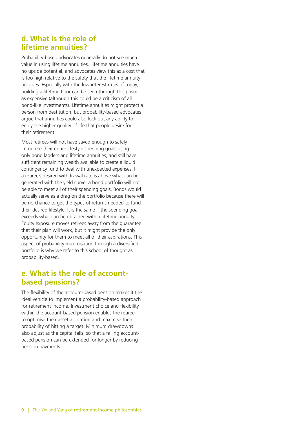#### **d. What is the role of lifetime annuities?**

Probability-based advocates generally do not see much value in using lifetime annuities. Lifetime annuities have no upside potential, and advocates view this as a cost that is too high relative to the safety that the lifetime annuity provides. Especially with the low interest rates of today, building a lifetime floor can be seen through this prism as expensive (although this could be a criticism of all bond-like investments). Lifetime annuities might protect a person from destitution, but probability-based advocates argue that annuities could also lock out any ability to enjoy the higher quality of life that people desire for their retirement.

Most retirees will not have saved enough to safely immunise their entire lifestyle spending goals using only bond ladders and lifetime annuities, and still have sufficient remaining wealth available to create a liquid contingency fund to deal with unexpected expenses. If a retiree's desired withdrawal rate is above what can be generated with the yield curve, a bond portfolio will not be able to meet all of their spending goals. Bonds would actually serve as a drag on the portfolio because there will be no chance to get the types of returns needed to fund their desired lifestyle. It is the same if the spending goal exceeds what can be obtained with a lifetime annuity. Equity exposure moves retirees away from the guarantee that their plan will work, but it might provide the only opportunity for them to meet all of their aspirations. This aspect of probability maximisation through a diversified portfolio is why we refer to this school of thought as probability-based.

### **e. What is the role of accountbased pensions?**

The flexibility of the account-based pension makes it the ideal vehicle to implement a probability-based approach for retirement income. Investment choice and flexibility within the account-based pension enables the retiree to optimise their asset allocation and maximise their probability of hitting a target. Minimum drawdowns also adjust as the capital falls, so that a failing accountbased pension can be extended for longer by reducing pension payments.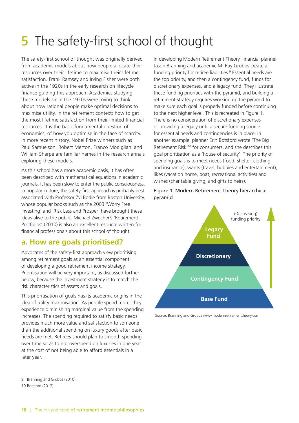## 5 The safety-first school of thought

The safety-first school of thought was originally derived from academic models about how people allocate their resources over their lifetime to maximise their lifetime satisfaction. Frank Ramsey and Irving Fisher were both active in the 1920s in the early research on lifecycle finance guiding this approach. Academics studying these models since the 1920s were trying to think about how rational people make optimal decisions to maximise utility. In the retirement context: how to get the most lifetime satisfaction from their limited financial resources. It is the basic fundamental question of economics, of how you optimise in the face of scarcity. In more recent history, Nobel Prize winners such as Paul Samuelson, Robert Merton, Franco Modigliani and William Sharpe are familiar names in the research annals exploring these models.

As this school has a more academic basis, it has often been described with mathematical equations in academic journals. It has been slow to enter the public consciousness. In popular culture, the safety-first approach is probably best associated with Professor Zvi Bodie from Boston University, whose popular books such as the 2003 'Worry Free Investing' and 'Risk Less and Prosper' have brought these ideas alive to the public. Michael Zwecher's 'Retirement Portfolios' (2010) is also an excellent resource written for financial professionals about this school of thought.

### **a. How are goals prioritised?**

Advocates of the safety-first approach view prioritising among retirement goals as an essential component of developing a good retirement income strategy. Prioritisation will be very important, as discussed further below, because the investment strategy is to match the risk characteristics of assets and goals.

This prioritisation of goals has its academic origins in the idea of utility maximisation. As people spend more, they experience diminishing marginal value from the spending increases. The spending required to satisfy basic needs provides much more value and satisfaction to someone than the additional spending on luxury goods after basic needs are met. Retirees should plan to smooth spending over time so as to not overspend on luxuries in one year at the cost of not being able to afford essentials in a later year.

In developing Modern Retirement Theory, financial planner Jason Branning and academic M. Ray Grubbs create a funding priority for retiree liabilities.<sup>9</sup> Essential needs are the top priority, and then a contingency fund, funds for discretionary expenses, and a legacy fund. They illustrate these funding priorities with the pyramid, and building a retirement strategy requires working up the pyramid to make sure each goal is properly funded before continuing to the next higher level. This is recreated in Figure 1. There is no consideration of discretionary expenses or providing a legacy until a secure funding source for essential needs and contingencies is in place. In another example, planner Erin Botsford wrote 'The Big Retirement Risk'10 for consumers, and she describes this goal prioritisation as a 'house of security'. The priority of spending goals is to meet needs (food, shelter, clothing and insurance), wants (travel, hobbies and entertainment), likes (vacation home, boat, recreational activities) and wishes (charitable giving, and gifts to heirs).

#### Figure 1: Modern Retirement Theory hierarchical pyramid



Source: Branning and Grubbs www.modernretirementtheory.com

<sup>9</sup> Branning and Grubbs (2010). 10 Botsford (2012).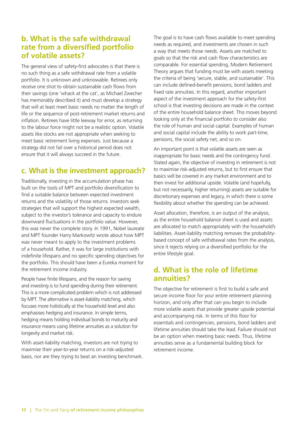### **b. What is the safe withdrawal rate from a diversified portfolio of volatile assets?**

The general view of safety-first advocates is that there is no such thing as a safe withdrawal rate from a volatile portfolio. It is unknown and unknowable. Retirees only receive one shot to obtain sustainable cash flows from their savings (one 'whack at the cat', as Michael Zwecher has memorably described it) and must develop a strategy that will at least meet basic needs no matter the length of life or the sequence of post-retirement market returns and inflation. Retirees have little leeway for error, as returning to the labour force might not be a realistic option. Volatile assets like stocks are not appropriate when seeking to meet basic retirement living expenses. Just because a strategy did not fail over a historical period does not ensure that it will always succeed in the future.

### **c. What is the investment approach?**

Traditionally, investing in the accumulation phase has built on the tools of MPT and portfolio diversification to find a suitable balance between expected investment returns and the volatility of those returns. Investors seek strategies that will support the highest expected wealth, subject to the investor's tolerance and capacity to endure downward fluctuations in the portfolio value. However, this was never the complete story. In 1991, Nobel laureate and MPT founder Harry Markowitz wrote about how MPT was never meant to apply to the investment problems of a household. Rather, it was for large institutions with indefinite lifespans and no specific spending objectives for the portfolio. This should have been a Eureka moment for the retirement income industry.

People have finite lifespans, and the reason for saving and investing is to fund spending during their retirement. This is a more complicated problem which is not addressed by MPT. The alternative is asset-liability matching, which focuses more holistically at the household level and also emphasises hedging and insurance. In simple terms, hedging means holding individual bonds to maturity and insurance means using lifetime annuities as a solution for longevity and market risk.

With asset-liability matching, investors are not trying to maximise their year-to-year returns on a risk-adjusted basis, nor are they trying to beat an investing benchmark. The goal is to have cash flows available to meet spending needs as required, and investments are chosen in such a way that meets those needs. Assets are matched to goals so that the risk and cash flow characteristics are comparable. For essential spending, Modern Retirement Theory argues that funding must be with assets meeting the criteria of being 'secure, stable, and sustainable'. This can include defined-benefit pensions, bond ladders and fixed rate annuities. In this regard, another important aspect of the investment approach for the safety-first school is that investing decisions are made in the context of the entire household balance sheet. This moves beyond looking only at the financial portfolio to consider also the role of human and social capital. Examples of human and social capital include the ability to work part-time, pensions, the social safety net, and so on.

An important point is that volatile assets are seen as inappropriate for basic needs and the contingency fund. Stated again, the objective of investing in retirement is not to maximise risk-adjusted returns, but to first ensure that basics will be covered in any market environment and to then invest for additional upside. Volatile (and hopefully, but not necessarily, higher returning) assets are suitable for discretionary expenses and legacy, in which there is some flexibility about whether the spending can be achieved.

Asset allocation, therefore, is an output of the analysis, as the entire household balance sheet is used and assets are allocated to match appropriately with the household's liabilities. Asset-liability matching removes the probabilitybased concept of safe withdrawal rates from the analysis, since it rejects relying on a diversified portfolio for the entire lifestyle goal.

### **d. What is the role of lifetime annuities?**

The objective for retirement is first to build a safe and secure income floor for your entire retirement planning horizon, and only after that can you begin to include more volatile assets that provide greater upside potential and accompanying risk. In terms of this floor for essentials and contingencies, pensions, bond ladders and lifetime annuities should take the lead. Failure should not be an option when meeting basic needs. Thus, lifetime annuities serve as a fundamental building block for retirement income.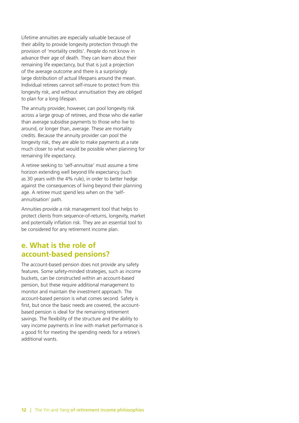Lifetime annuities are especially valuable because of their ability to provide longevity protection through the provision of 'mortality credits'. People do not know in advance their age of death. They can learn about their remaining life expectancy, but that is just a projection of the average outcome and there is a surprisingly large distribution of actual lifespans around the mean. Individual retirees cannot self-insure to protect from this longevity risk, and without annuitisation they are obliged to plan for a long lifespan.

The annuity provider, however, can pool longevity risk across a large group of retirees, and those who die earlier than average subsidise payments to those who live to around, or longer than, average. These are mortality credits. Because the annuity provider can pool the longevity risk, they are able to make payments at a rate much closer to what would be possible when planning for remaining life expectancy.

A retiree seeking to 'self-annuitise' must assume a time horizon extending well beyond life expectancy (such as 30 years with the 4% rule), in order to better hedge against the consequences of living beyond their planning age. A retiree must spend less when on the 'selfannuitisation' path.

Annuities provide a risk management tool that helps to protect clients from sequence-of-returns, longevity, market and potentially inflation risk. They are an essential tool to be considered for any retirement income plan.

#### **e. What is the role of account-based pensions?**

The account-based pension does not provide any safety features. Some safety-minded strategies, such as income buckets, can be constructed within an account-based pension, but these require additional management to monitor and maintain the investment approach. The account-based pension is what comes second. Safety is first, but once the basic needs are covered, the accountbased pension is ideal for the remaining retirement savings. The flexibility of the structure and the ability to vary income payments in line with market performance is a good fit for meeting the spending needs for a retiree's additional wants.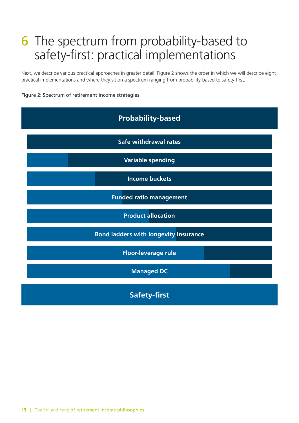### 6 The spectrum from probability-based to safety-first: practical implementations

Next, we describe various practical approaches in greater detail. Figure 2 shows the order in which we will describe eight practical implementations and where they sit on a spectrum ranging from probability-based to safety-first.

#### Figure 2: Spectrum of retirement income strategies

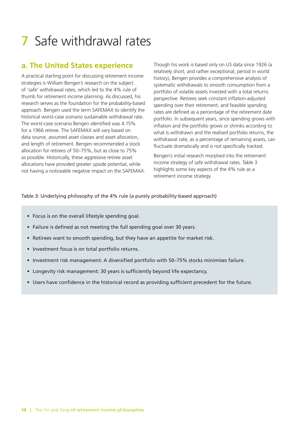## 7 Safe withdrawal rates

### **a. The United States experience**

A practical starting point for discussing retirement income strategies is William Bengen's research on the subject of 'safe' withdrawal rates, which led to the 4% rule of thumb for retirement income planning. As discussed, his research serves as the foundation for the probability-based approach. Bengen used the term SAFEMAX to identify the historical worst-case scenario sustainable withdrawal rate. The worst-case scenario Bengen identified was 4.15% for a 1966 retiree. The SAFEMAX will vary based on data source, assumed asset classes and asset allocation, and length of retirement. Bengen recommended a stock allocation for retirees of 50–75%, but as close to 75% as possible. Historically, these aggressive retiree asset allocations have provided greater upside potential, while not having a noticeable negative impact on the SAFEMAX.

Though his work is based only on US data since 1926 (a relatively short, and rather exceptional, period in world history), Bengen provides a comprehensive analysis of systematic withdrawals to smooth consumption from a portfolio of volatile assets invested with a total returns perspective. Retirees seek constant inflation-adjusted spending over their retirement, and feasible spending rates are defined as a percentage of the retirement date portfolio. In subsequent years, since spending grows with inflation and the portfolio grows or shrinks according to what is withdrawn and the realised portfolio returns, the withdrawal rate, as a percentage of remaining assets, can fluctuate dramatically and is not specifically tracked.

Bengen's initial research morphed into the retirement income strategy of safe withdrawal rates. Table 3 highlights some key aspects of the 4% rule as a retirement income strategy.

Table 3: Underlying philosophy of the 4% rule (a purely probability-based approach)

- Focus is on the overall lifestyle spending goal.
- Failure is defined as not meeting the full spending goal over 30 years.
- Retirees want to smooth spending, but they have an appetite for market risk.
- Investment focus is on total portfolio returns.
- Investment risk management: A diversified portfolio with 50–75% stocks minimises failure.
- Longevity risk management: 30 years is sufficiently beyond life expectancy.
- Users have confidence in the historical record as providing sufficient precedent for the future.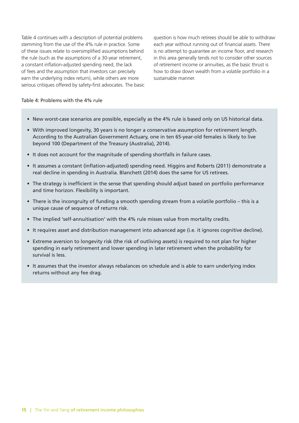Table 4 continues with a description of potential problems stemming from the use of the 4% rule in practice. Some of these issues relate to oversimplified assumptions behind the rule (such as the assumptions of a 30-year retirement, a constant inflation-adjusted spending need, the lack of fees and the assumption that investors can precisely earn the underlying index return), while others are more serious critiques offered by safety-first advocates. The basic

question is how much retirees should be able to withdraw each year without running out of financial assets. There is no attempt to guarantee an income floor, and research in this area generally tends not to consider other sources of retirement income or annuities, as the basic thrust is how to draw down wealth from a volatile portfolio in a sustainable manner.

#### Table 4: Problems with the 4% rule

- New worst-case scenarios are possible, especially as the 4% rule is based only on US historical data.
- With improved longevity, 30 years is no longer a conservative assumption for retirement length. According to the Australian Government Actuary, one in ten 65-year-old females is likely to live beyond 100 (Department of the Treasury (Australia), 2014).
- It does not account for the magnitude of spending shortfalls in failure cases.
- It assumes a constant (inflation-adjusted) spending need. Higgins and Roberts (2011) demonstrate a real decline in spending in Australia. Blanchett (2014) does the same for US retirees.
- The strategy is inefficient in the sense that spending should adjust based on portfolio performance and time horizon. Flexibility is important.
- There is the incongruity of funding a smooth spending stream from a volatile portfolio this is a unique cause of sequence of returns risk.
- The implied 'self-annuitisation' with the 4% rule misses value from mortality credits.
- It requires asset and distribution management into advanced age (i.e. it ignores cognitive decline).
- Extreme aversion to longevity risk (the risk of outliving assets) is required to not plan for higher spending in early retirement and lower spending in later retirement when the probability for survival is less.
- It assumes that the investor always rebalances on schedule and is able to earn underlying index returns without any fee drag.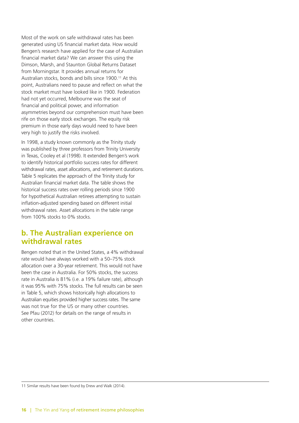Most of the work on safe withdrawal rates has been generated using US financial market data. How would Bengen's research have applied for the case of Australian financial market data? We can answer this using the Dimson, Marsh, and Staunton Global Returns Dataset from Morningstar. It provides annual returns for Australian stocks, bonds and bills since 1900.<sup>11</sup> At this point, Australians need to pause and reflect on what the stock market must have looked like in 1900. Federation had not yet occurred, Melbourne was the seat of financial and political power, and information asymmetries beyond our comprehension must have been rife on those early stock exchanges. The equity risk premium in those early days would need to have been very high to justify the risks involved.

In 1998, a study known commonly as the Trinity study was published by three professors from Trinity University in Texas, Cooley et al (1998). It extended Bengen's work to identify historical portfolio success rates for different withdrawal rates, asset allocations, and retirement durations. Table 5 replicates the approach of the Trinity study for Australian financial market data. The table shows the historical success rates over rolling periods since 1900 for hypothetical Australian retirees attempting to sustain inflation-adjusted spending based on different initial withdrawal rates. Asset allocations in the table range from 100% stocks to 0% stocks.

#### **b. The Australian experience on withdrawal rates**

Bengen noted that in the United States, a 4% withdrawal rate would have always worked with a 50–75% stock allocation over a 30-year retirement. This would not have been the case in Australia. For 50% stocks, the success rate in Australia is 81% (i.e. a 19% failure rate), although it was 95% with 75% stocks. The full results can be seen in Table 5, which shows historically high allocations to Australian equities provided higher success rates. The same was not true for the US or many other countries. See Pfau (2012) for details on the range of results in other countries.

11 Similar results have been found by Drew and Walk (2014).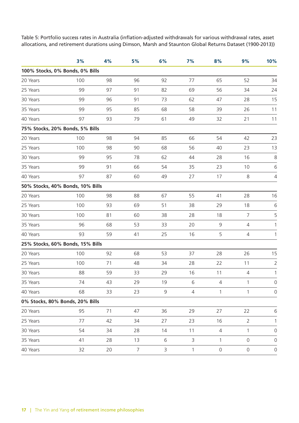Table 5: Portfolio success rates in Australia (inflation-adjusted withdrawals for various withdrawal rates, asset allocations, and retirement durations using Dimson, Marsh and Staunton Global Returns Dataset (1900-2013))

|                                  | 3%  | 4% | 5%             | 6%          | 7%             | 8%           | 9%             | 10%                 |
|----------------------------------|-----|----|----------------|-------------|----------------|--------------|----------------|---------------------|
| 100% Stocks, 0% Bonds, 0% Bills  |     |    |                |             |                |              |                |                     |
| 20 Years                         | 100 | 98 | 96             | 92          | 77             | 65           | 52             | 34                  |
| 25 Years                         | 99  | 97 | 91             | 82          | 69             | 56           | 34             | 24                  |
| 30 Years                         | 99  | 96 | 91             | 73          | 62             | 47           | 28             | 15                  |
| 35 Years                         | 99  | 95 | 85             | 68          | 58             | 39           | 26             | 11                  |
| 40 Years                         | 97  | 93 | 79             | 61          | 49             | 32           | 21             | 11                  |
| 75% Stocks, 20% Bonds, 5% Bills  |     |    |                |             |                |              |                |                     |
| 20 Years                         | 100 | 98 | 94             | 85          | 66             | 54           | 42             | 23                  |
| 25 Years                         | 100 | 98 | 90             | 68          | 56             | 40           | 23             | 13                  |
| 30 Years                         | 99  | 95 | 78             | 62          | 44             | 28           | 16             | $\,8\,$             |
| 35 Years                         | 99  | 91 | 66             | 54          | 35             | 23           | 10             | $\sqrt{6}$          |
| 40 Years                         | 97  | 87 | 60             | 49          | 27             | 17           | $\,8\,$        | $\sqrt{4}$          |
| 50% Stocks, 40% Bonds, 10% Bills |     |    |                |             |                |              |                |                     |
| 20 Years                         | 100 | 98 | 88             | 67          | 55             | 41           | 28             | 16                  |
| 25 Years                         | 100 | 93 | 69             | 51          | 38             | 29           | 18             | 6                   |
| 30 Years                         | 100 | 81 | 60             | 38          | 28             | 18           | $\overline{7}$ | 5                   |
| 35 Years                         | 96  | 68 | 53             | 33          | 20             | $\mathsf 9$  | $\sqrt{4}$     | 1                   |
| 40 Years                         | 93  | 59 | 41             | 25          | 16             | 5            | $\overline{4}$ | 1                   |
| 25% Stocks, 60% Bonds, 15% Bills |     |    |                |             |                |              |                |                     |
| 20 Years                         | 100 | 92 | 68             | 53          | 37             | 28           | 26             | 15                  |
| 25 Years                         | 100 | 71 | 48             | 34          | 28             | 22           | 11             | $\overline{2}$      |
| 30 Years                         | 88  | 59 | 33             | 29          | 16             | 11           | $\overline{4}$ | 1                   |
| 35 Years                         | 74  | 43 | 29             | 19          | 6              | 4            | $\mathbf{1}$   | $\mathsf{O}$        |
| 40 Years                         | 68  | 33 | 23             | 9           | $\overline{4}$ | 1            | $\mathbf{1}$   | $\mathsf{O}\xspace$ |
| 0% Stocks, 80% Bonds, 20% Bills  |     |    |                |             |                |              |                |                     |
| 20 Years                         | 95  | 71 | 47             | 36          | 29             | 27           | 22             | 6                   |
| 25 Years                         | 77  | 42 | 34             | 27          | 23             | 16           | $\overline{2}$ | 1                   |
| 30 Years                         | 54  | 34 | 28             | 14          | $11$           | $\sqrt{4}$   | $\mathbf{1}$   | $\mathbf 0$         |
| 35 Years                         | 41  | 28 | 13             | $\,$ 6 $\,$ | $\mathsf 3$    | $\mathbf{1}$ | $\mathsf{O}$   | $\mathbf 0$         |
| 40 Years                         | 32  | 20 | $\overline{7}$ | 3           | $\mathbf{1}$   | $\mathsf{O}$ | $\mathsf{O}$   | $\mathsf{O}\xspace$ |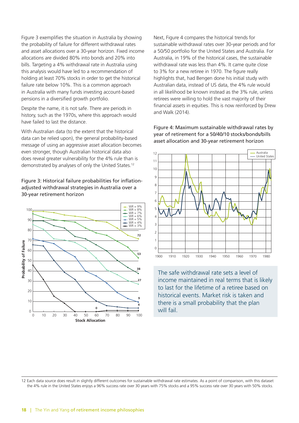Figure 3 exemplifies the situation in Australia by showing the probability of failure for different withdrawal rates and asset allocations over a 30-year horizon. Fixed income allocations are divided 80% into bonds and 20% into bills. Targeting a 4% withdrawal rate in Australia using this analysis would have led to a recommendation of holding at least 70% stocks in order to get the historical failure rate below 10%. This is a common approach in Australia with many funds investing account-based pensions in a diversified growth portfolio.

Despite the name, it is not safe. There are periods in history, such as the 1970s, where this approach would have failed to last the distance.

With Australian data (to the extent that the historical data can be relied upon), the general probability-based message of using an aggressive asset allocation becomes even stronger, though Australian historical data also does reveal greater vulnerability for the 4% rule than is demonstrated by analyses of only the United States.12

#### Figure 3: Historical failure probabilities for inflationadjusted withdrawal strategies in Australia over a 30-year retirement horizon



Next, Figure 4 compares the historical trends for sustainable withdrawal rates over 30-year periods and for a 50/50 portfolio for the United States and Australia. For Australia, in 19% of the historical cases, the sustainable withdrawal rate was less than 4%. It came quite close to 3% for a new retiree in 1970. The figure really highlights that, had Bengen done his initial study with Australian data, instead of US data, the 4% rule would in all likelihood be known instead as the 3% rule, unless retirees were willing to hold the vast majority of their financial assets in equities. This is now reinforced by Drew and Walk (2014).

Figure 4: Maximum sustainable withdrawal rates by year of retirement for a 50/40/10 stocks/bonds/bills asset allocation and 30-year retirement horizon



The safe withdrawal rate sets a level of income maintained in real terms that is likely to last for the lifetime of a retiree based on historical events. Market risk is taken and there is a small probability that the plan will fail.

12 Each data source does result in slightly different outcomes for sustainable withdrawal rate estimates. As a point of comparison, with this dataset the 4% rule in the United States enjoys a 96% success rate over 30 years with 75% stocks and a 95% success rate over 30 years with 50% stocks.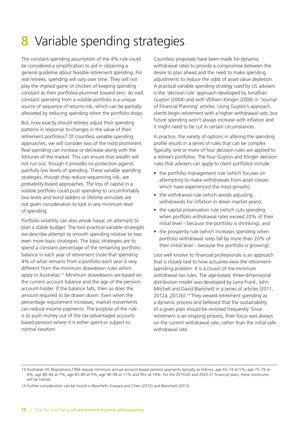## 8 Variable spending strategies

The constant-spending assumption of the 4% rule could be considered a simplification to aid in obtaining a general guideline about feasible retirement spending. For real retirees, spending will vary over time. They will not play the implied game of chicken of keeping spending constant as their portfolios plummet toward zero. As well, constant spending from a volatile portfolio is a unique source of sequence of returns risk, which can be partially alleviated by reducing spending when the portfolio drops.

But, how exactly should retirees adjust their spending patterns in response to changes in the value of their retirement portfolios? Of countless variable spending approaches, we will consider two of the most prominent. Real spending can increase or decrease along with the fortunes of the market. This can ensure that wealth will not run out, though it provides no protection against painfully low levels of spending. These variable spending strategies, though they reduce sequencing risk, are probability-based approaches. The loss of capital in a volatile portfolio could push spending to uncomfortably low levels and bond ladders or lifetime annuities are not given consideration to lock in any minimum level of spending.

Portfolio volatility can also wreak havoc on attempts to plan a stable budget. The two practical variable strategies we describe attempt to smooth spending relative to two even more basic strategies. The basic strategies are to spend a constant percentage of the remaining portfolio balance in each year of retirement (note that spending 4% of what remains from a portfolio each year is very different from the minimum drawdown rules which apply in Australia).<sup>13</sup> Minimum drawdowns are based on the current account balance and the age of the pension account-holder. If the balance falls, then so does the amount required to be drawn down. Even when the percentage requirement increases, market movements can reduce income payments. The purpose of the rule is to push money out of the tax-advantaged accountbased pension where it is either spent or subject to normal taxation.

Countless proposals have been made for dynamic withdrawal rates to provide a compromise between the desire to plan ahead and the need to make spending adjustments to reduce the odds of asset value depletion. A practical variable spending strategy used by US advisers is the 'decision rule' approach developed by Jonathan Guyton (2004) and with William Klinger (2006) in 'Journal of Financial Planning' articles. Using Guyton's approach, clients begin retirement with a higher withdrawal rate, but future spending won't always increase with inflation and it might need to be cut in certain circumstances.

In practice, the variety of options in altering the spending profile results in a series of rules that can be complex. Typically, one or more of four decision rules are applied to a retiree's portfolios. The four Guyton and Klinger decision rules that advisers can apply to client portfolios include:

- the portfolio management rule (which focuses on attempting to make withdrawals from asset classes which have experienced the most growth);
- the withdrawal rule (which avoids adjusting withdrawals for inflation in down market years);
- the capital preservation rule (which cuts spending when portfolio withdrawal rates exceed 20% of their initial level – because the portfolio is shrinking); and
- the prosperity rule (which increases spending when portfolio withdrawal rates fall by more than 20% of their initial level – because the portfolio is growing).

Less well known to financial professionals is an approach that is closely tied to how actuaries view the retirementspending problem. It is a cousin of the minimum withdrawal tax rules. The age-based, three-dimensional distribution model was developed by Larry Frank, John Mitchell and David Blanchett in a series of articles (2011, 2012a, 2012b).14 They viewed retirement spending as a dynamic process and believed that the sustainability of a given plan should be revisited frequently. Since retirement is an ongoing process, their focus was always on the current withdrawal rate, rather than the initial safe withdrawal rate.

<sup>13</sup> Australian SIS Regulations 1994 require minimum annual account-based pension payments typically as follows: age 65–74 at 5%; age 75–79 at 6%; age 80–84 at 7%; age 85–89 at 9%; age 90–94 at 11% and 95+ at 14%. For the 2019-20 and 2020-21 financial years, these minimums will be halved.

<sup>14</sup> Further consideration can be found in Blanchett, Kowara and Chen (2012) and Blanchett (2013).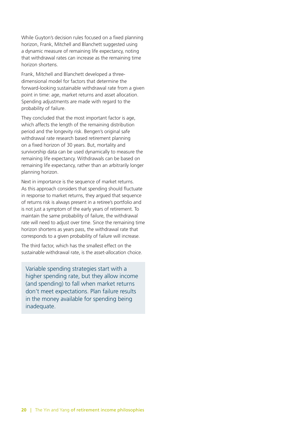While Guyton's decision rules focused on a fixed planning horizon, Frank, Mitchell and Blanchett suggested using a dynamic measure of remaining life expectancy, noting that withdrawal rates can increase as the remaining time horizon shortens.

Frank, Mitchell and Blanchett developed a threedimensional model for factors that determine the forward-looking sustainable withdrawal rate from a given point in time: age, market returns and asset allocation. Spending adjustments are made with regard to the probability of failure.

They concluded that the most important factor is age, which affects the length of the remaining distribution period and the longevity risk. Bengen's original safe withdrawal rate research based retirement planning on a fixed horizon of 30 years. But, mortality and survivorship data can be used dynamically to measure the remaining life expectancy. Withdrawals can be based on remaining life expectancy, rather than an arbitrarily longer planning horizon.

Next in importance is the sequence of market returns. As this approach considers that spending should fluctuate in response to market returns, they argued that sequence of returns risk is always present in a retiree's portfolio and is not just a symptom of the early years of retirement. To maintain the same probability of failure, the withdrawal rate will need to adjust over time. Since the remaining time horizon shortens as years pass, the withdrawal rate that corresponds to a given probability of failure will increase.

The third factor, which has the smallest effect on the sustainable withdrawal rate, is the asset-allocation choice.

Variable spending strategies start with a higher spending rate, but they allow income (and spending) to fall when market returns don't meet expectations. Plan failure results in the money available for spending being inadequate.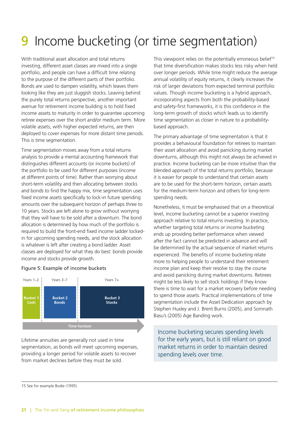## Income bucketing (or time segmentation)

With traditional asset allocation and total returns investing, different asset classes are mixed into a single portfolio, and people can have a difficult time relating to the purpose of the different parts of their portfolio. Bonds are used to dampen volatility, which leaves them looking like they are just sluggish stocks. Leaving behind the purely total returns perspective, another important avenue for retirement income building is to hold fixed income assets to maturity in order to guarantee upcoming retiree expenses over the short and/or medium term. More volatile assets, with higher expected returns, are then deployed to cover expenses for more distant time periods. This is time segmentation.

Time segmentation moves away from a total returns analysis to provide a mental accounting framework that distinguishes different accounts (or income buckets) of the portfolio to be used for different purposes (income at different points of time). Rather than worrying about short-term volatility and then allocating between stocks and bonds to find the happy mix, time segmentation uses fixed income assets specifically to lock-in future spending amounts over the subsequent horizon of perhaps three to 10 years. Stocks are left alone to grow without worrying that they will have to be sold after a downturn. The bond allocation is determined by how much of the portfolio is required to build the front-end fixed income ladder lockedin for upcoming spending needs, and the stock allocation is whatever is left after creating a bond ladder. Asset classes are deployed for what they do best: bonds provide income and stocks provide growth.

#### Figure 5: Example of income buckets



Lifetime annuities are generally not used in time segmentation, as bonds will meet upcoming expenses, providing a longer period for volatile assets to recover from market declines before they must be sold.

This viewpoint relies on the potentially erroneous belief<sup>15</sup> that time diversification makes stocks less risky when held over longer periods. While time might reduce the average annual volatility of equity returns, it clearly increases the risk of larger deviations from expected terminal portfolio values. Though income bucketing is a hybrid approach, incorporating aspects from both the probability-based and safety-first frameworks, it is this confidence in the long-term growth of stocks which leads us to identify time segmentation as closer in nature to a probabilitybased approach.

The primary advantage of time segmentation is that it provides a behavioural foundation for retirees to maintain their asset allocation and avoid panicking during market downturns, although this might not always be achieved in practice. Income bucketing can be more intuitive than the blended approach of the total returns portfolio, because it is easier for people to understand that certain assets are to be used for the short-term horizon, certain assets for the medium-term horizon and others for long-term spending needs.

Nonetheless, it must be emphasised that on a theoretical level, income bucketing cannot be a superior investing approach relative to total returns investing. In practice, whether targeting total returns or income bucketing ends up providing better performance when viewed after the fact cannot be predicted in advance and will be determined by the actual sequence of market returns experienced. The benefits of income bucketing relate more to helping people to understand their retirement income plan and keep their resolve to stay the course and avoid panicking during market downturns. Retirees might be less likely to sell stock holdings if they know there is time to wait for a market recovery before needing to spend those assets. Practical implementations of time segmentation include the Asset Dedication approach by Stephen Huxley and J. Brent Burns (2005), and Somnath Basu's (2005) Age Banding work.

Income bucketing secures spending levels for the early years, but is still reliant on good market returns in order to maintain desired spending levels over time.

15 See for example Bodie (1995).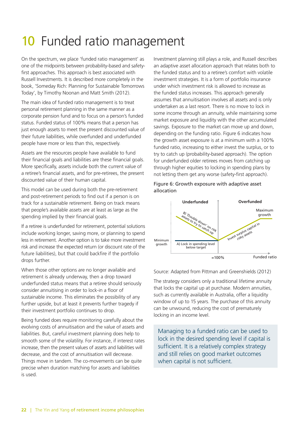## 10 Funded ratio management

On the spectrum, we place 'funded ratio management' as one of the midpoints between probability-based and safetyfirst approaches. This approach is best associated with Russell Investments. It is described more completely in the book, 'Someday Rich: Planning for Sustainable Tomorrows Today', by Timothy Noonan and Matt Smith (2012).

The main idea of funded ratio management is to treat personal retirement planning in the same manner as a corporate pension fund and to focus on a person's funded status. Funded status of 100% means that a person has just enough assets to meet the present discounted value of their future liabilities, while overfunded and underfunded people have more or less than this, respectively.

Assets are the resources people have available to fund their financial goals and liabilities are these financial goals. More specifically, assets include both the current value of a retiree's financial assets, and for pre-retirees, the present discounted value of their human capital.

This model can be used during both the pre-retirement and post-retirement periods to find out if a person is on track for a sustainable retirement. Being on track means that people's available assets are at least as large as the spending implied by their financial goals.

If a retiree is underfunded for retirement, potential solutions include working longer, saving more, or planning to spend less in retirement. Another option is to take more investment risk and increase the expected return (or discount rate of the future liabilities), but that could backfire if the portfolio drops further.

When those other options are no longer available and retirement is already underway, then a drop toward underfunded status means that a retiree should seriously consider annuitising in order to lock-in a floor of sustainable income. This eliminates the possibility of any further upside, but at least it prevents further tragedy if their investment portfolio continues to drop.

Being funded does require monitoring carefully about the evolving costs of annuitisation and the value of assets and liabilities. But, careful investment planning does help to smooth some of the volatility. For instance, if interest rates increase, then the present values of assets and liabilities will decrease, and the cost of annuitisation will decrease. Things move in tandem. The co-movements can be quite precise when duration matching for assets and liabilities is used.

Investment planning still plays a role, and Russell describes an adaptive asset allocation approach that relates both to the funded status and to a retiree's comfort with volatile investment strategies. It is a form of portfolio insurance under which investment risk is allowed to increase as the funded status increases. This approach generally assumes that annuitisation involves all assets and is only undertaken as a last resort. There is no move to lock in some income through an annuity, while maintaining some market exposure and liquidity with the other accumulated savings. Exposure to the market can move up and down, depending on the funding ratio. Figure 6 indicates how the growth asset exposure is at a minimum with a 100% funded ratio, increasing to either invest the surplus, or to try to catch up (probability-based approach). The option for underfunded older retirees moves from catching up through higher equities to locking in spending plans by not letting them get any worse (safety-first approach).

#### Figure 6: Growth exposure with adaptive asset allocation



#### Source: Adapted from Pittman and Greenshields (2012)

The strategy considers only a traditional lifetime annuity that locks the capital up at purchase. Modern annuities, such as currently available in Australia, offer a liquidity window of up to 15 years. The purchase of this annuity can be unwound, reducing the cost of prematurely locking in an income level.

Managing to a funded ratio can be used to lock in the desired spending level if capital is sufficient. It is a relatively complex strategy and still relies on good market outcomes when capital is not sufficient.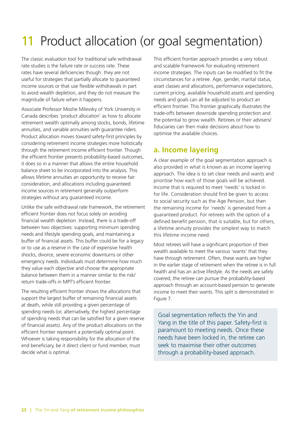## 11 Product allocation (or goal segmentation)

The classic evaluation tool for traditional safe withdrawal rate studies is the failure rate or success rate. These rates have several deficiencies though: they are not useful for strategies that partially allocate to guaranteed income sources or that use flexible withdrawals in part to avoid wealth depletion, and they do not measure the magnitude of failure when it happens.

Associate Professor Moshe Milevsky of York University in Canada describes 'product allocation' as how to allocate retirement wealth optimally among stocks, bonds, lifetime annuities, and variable annuities with guarantee riders. Product allocation moves toward safety-first principles by considering retirement income strategies more holistically through the retirement income efficient frontier. Though the efficient frontier presents probability-based outcomes, it does so in a manner that allows the entire household balance sheet to be incorporated into the analysis. This allows lifetime annuities an opportunity to receive fair consideration, and allocations including guaranteed income sources in retirement generally outperform strategies without any guaranteed income.

Unlike the safe withdrawal rate framework, the retirement efficient frontier does not focus solely on avoiding financial wealth depletion. Instead, there is a trade-off between two objectives: supporting minimum spending needs and lifestyle spending goals, and maintaining a buffer of financial assets. This buffer could be for a legacy or to use as a reserve in the case of expensive health shocks, divorce, severe economic downturns or other emergency needs. Individuals must determine how much they value each objective and choose the appropriate balance between them in a manner similar to the risk/ return trade-offs in MPT's efficient frontier.

The resulting efficient frontier shows the allocations that support the largest buffer of remaining financial assets at death, while still providing a given percentage of spending needs (or, alternatively, the highest percentage of spending needs that can be satisfied for a given reserve of financial assets). Any of the product allocations on the efficient frontier represent a potentially optimal point. Whoever is taking responsibility for the allocation of the end beneficiary, be it direct client or fund member, must decide what is optimal.

This efficient frontier approach provides a very robust and scalable framework for evaluating retirement income strategies. The inputs can be modified to fit the circumstances for a retiree. Age, gender, marital status, asset classes and allocations, performance expectations, current pricing, available household assets and spending needs and goals can all be adjusted to product an efficient frontier. This frontier graphically illustrates the trade-offs between downside spending protection and the potential to grow wealth. Retirees or their advisers/ fiduciaries can then make decisions about how to optimise the available choices.

### **a. Income layering**

A clear example of the goal segmentation approach is also provided in what is known as an income layering approach. The idea is to set clear needs and wants and prioritise how each of those goals will be achieved. Income that is required to meet 'needs' is locked in for life. Consideration should first be given to access to social security such as the Age Pension, but then the remaining income for 'needs' is generated from a guaranteed product. For retirees with the option of a defined benefit pension, that is suitable, but for others, a lifetime annuity provides the simplest way to match this lifetime income need.

Most retirees will have a significant proportion of their wealth available to meet the various 'wants' that they have through retirement. Often, these wants are higher in the earlier stage of retirement when the retiree is in full health and has an active lifestyle. As the needs are safely covered, the retiree can pursue the probability-based approach through an account-based pension to generate income to meet their wants. This split is demonstrated in Figure 7.

Goal segmentation reflects the Yin and Yang in the title of this paper. Safety-first is paramount to meeting needs. Once these needs have been locked in, the retiree can seek to maximise their other outcomes through a probability-based approach.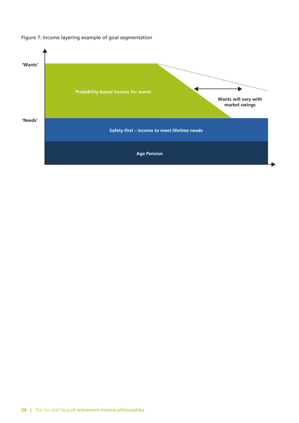

#### Figure 7: Income layering example of goal segmentation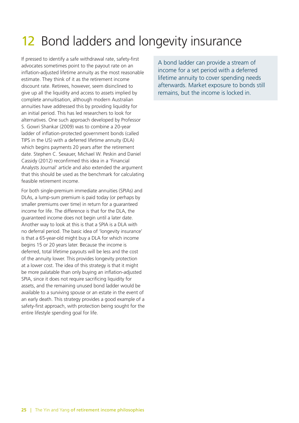## 12 Bond ladders and longevity insurance

If pressed to identify a safe withdrawal rate, safety-first advocates sometimes point to the payout rate on an inflation-adjusted lifetime annuity as the most reasonable estimate. They think of it as the retirement income discount rate. Retirees, however, seem disinclined to give up all the liquidity and access to assets implied by complete annuitisation, although modern Australian annuities have addressed this by providing liquidity for an initial period. This has led researchers to look for alternatives. One such approach developed by Professor S. Gowri Shankar (2009) was to combine a 20-year ladder of inflation-protected government bonds (called TIPS in the US) with a deferred lifetime annuity (DLA) which begins payments 20 years after the retirement date. Stephen C. Sexauer, Michael W. Peskin and Daniel Cassidy (2012) reconfirmed this idea in a 'Financial Analysts Journal' article and also extended the argument that this should be used as the benchmark for calculating feasible retirement income.

For both single-premium immediate annuities (SPIAs) and DLAs, a lump-sum premium is paid today (or perhaps by smaller premiums over time) in return for a guaranteed income for life. The difference is that for the DLA, the guaranteed income does not begin until a later date. Another way to look at this is that a SPIA is a DLA with no deferral period. The basic idea of 'longevity insurance' is that a 65-year-old might buy a DLA for which income begins 15 or 20 years later. Because the income is deferred, total lifetime payouts will be less and the cost of the annuity lower. This provides longevity protection at a lower cost. The idea of this strategy is that it might be more palatable than only buying an inflation-adjusted SPIA, since it does not require sacrificing liquidity for assets, and the remaining unused bond ladder would be available to a surviving spouse or an estate in the event of an early death. This strategy provides a good example of a safety-first approach, with protection being sought for the entire lifestyle spending goal for life.

A bond ladder can provide a stream of income for a set period with a deferred lifetime annuity to cover spending needs afterwards. Market exposure to bonds still remains, but the income is locked in.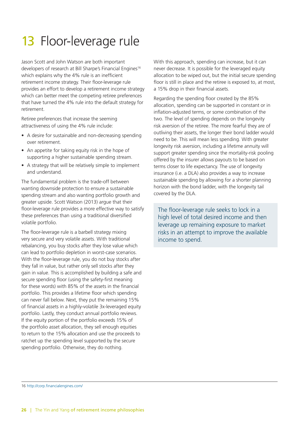## 13 Floor-leverage rule

Jason Scott and John Watson are both important developers of research at Bill Sharpe's Financial Engines<sup>16</sup> which explains why the 4% rule is an inefficient retirement income strategy. Their floor-leverage rule provides an effort to develop a retirement income strategy which can better meet the competing retiree preferences that have turned the 4% rule into the default strategy for retirement.

Retiree preferences that increase the seeming attractiveness of using the 4% rule include:

- A desire for sustainable and non-decreasing spending over retirement.
- An appetite for taking equity risk in the hope of supporting a higher sustainable spending stream.
- A strategy that will be relatively simple to implement and understand.

The fundamental problem is the trade-off between wanting downside protection to ensure a sustainable spending stream and also wanting portfolio growth and greater upside. Scott Watson (2013) argue that their floor-leverage rule provides a more effective way to satisfy these preferences than using a traditional diversified volatile portfolio.

The floor-leverage rule is a barbell strategy mixing very secure and very volatile assets. With traditional rebalancing, you buy stocks after they lose value which can lead to portfolio depletion in worst-case scenarios. With the floor-leverage rule, you do not buy stocks after they fall in value, but rather only sell stocks after they gain in value. This is accomplished by building a safe and secure spending floor (using the safety-first meaning for these words) with 85% of the assets in the financial portfolio. This provides a lifetime floor which spending can never fall below. Next, they put the remaining 15% of financial assets in a highly-volatile 3x-leveraged equity portfolio. Lastly, they conduct annual portfolio reviews. If the equity portion of the portfolio exceeds 15% of the portfolio asset allocation, they sell enough equities to return to the 15% allocation and use the proceeds to ratchet up the spending level supported by the secure spending portfolio. Otherwise, they do nothing.

With this approach, spending can increase, but it can never decrease. It is possible for the leveraged equity allocation to be wiped out, but the initial secure spending floor is still in place and the retiree is exposed to, at most, a 15% drop in their financial assets.

Regarding the spending floor created by the 85% allocation, spending can be supported in constant or in inflation-adjusted terms, or some combination of the two. The level of spending depends on the longevity risk aversion of the retiree. The more fearful they are of outliving their assets, the longer their bond ladder would need to be. This will mean less spending. With greater longevity risk aversion, including a lifetime annuity will support greater spending since the mortality-risk pooling offered by the insurer allows payouts to be based on terms closer to life expectancy. The use of longevity insurance (i.e. a DLA) also provides a way to increase sustainable spending by allowing for a shorter planning horizon with the bond ladder, with the longevity tail covered by the DLA.

The floor-leverage rule seeks to lock in a high level of total desired income and then leverage up remaining exposure to market risks in an attempt to improve the available income to spend.

<sup>16</sup> <http://corp.financialengines.com/>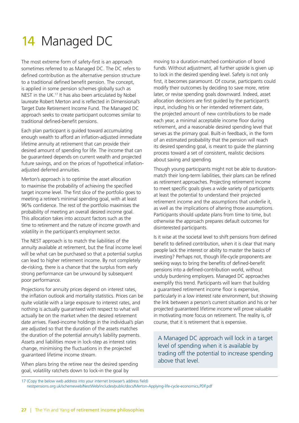## 14 Managed DC

The most extreme form of safety-first is an approach sometimes referred to as Managed DC. The DC refers to defined contribution as the alternative pension structure to a traditional defined benefit pension. The concept, is applied in some pension schemes globally such as NEST in the UK.17 It has also been articulated by Nobel laureate Robert Merton and is reflected in Dimensional's Target Date Retirement Income Fund. The Managed DC approach seeks to create participant outcomes similar to traditional defined-benefit pensions.

Each plan participant is guided toward accumulating enough wealth to afford an inflation-adjusted immediate lifetime annuity at retirement that can provide their desired amount of spending for life. The income that can be guaranteed depends on current wealth and projected future savings, and on the prices of hypothetical inflationadjusted deferred annuities.

Merton's approach is to optimise the asset allocation to maximise the probability of achieving the specified target income level. The first slice of the portfolio goes to meeting a retiree's minimal spending goal, with at least 96% confidence. The rest of the portfolio maximises the probability of meeting an overall desired income goal. This allocation takes into account factors such as the time to retirement and the nature of income growth and volatility in the participant's employment sector.

The NEST approach is to match the liabilities of the annuity available at retirement, but the final income level will be what can be purchased so that a potential surplus can lead to higher retirement income. By not completely de-risking, there is a chance that the surplus from early strong performance can be unwound by subsequent poor performance.

Projections for annuity prices depend on interest rates, the inflation outlook and mortality statistics. Prices can be quite volatile with a large exposure to interest rates, and nothing is actually guaranteed with respect to what will actually be on the market when the desired retirement date arrives. Fixed-income holdings in the individual's plan are adjusted so that the duration of the assets matches the duration of the potential annuity's liability payments. Assets and liabilities move in lock-step as interest rates change, minimising the fluctuations in the projected guaranteed lifetime income stream.

When plans bring the retiree near the desired spending goal, volatility ratchets down to lock-in the goal by

moving to a duration-matched combination of bond funds. Without adjustment, all further upside is given up to lock in the desired spending level. Safety is not only first, it becomes paramount. Of course, participants could modify their outcomes by deciding to save more, retire later, or revise spending goals downward. Indeed, asset allocation decisions are first guided by the participant's input, including his or her intended retirement date, the projected amount of new contributions to be made each year, a minimal acceptable income floor during retirement, and a reasonable desired spending level that serves as the primary goal. Built-in feedback, in the form of an estimated probability that the pension will reach its desired spending goal, is meant to guide the planning process toward a set of consistent, realistic decisions about saving and spending.

Though young participants might not be able to durationmatch their long-term liabilities, their plans can be refined as retirement approaches. Projecting retirement income to meet specific goals gives a wide variety of participants at least the potential to understand their projected retirement income and the assumptions that underlie it, as well as the implications of altering those assumptions. Participants should update plans from time to time, but otherwise the approach prepares default outcomes for disinterested participants.

Is it wise at the societal level to shift pensions from defined benefit to defined contribution, when it is clear that many people lack the interest or ability to master the basics of investing? Perhaps not, though life-cycle proponents are seeking ways to bring the benefits of defined-benefit pensions into a defined-contribution world, without unduly burdening employers. Managed DC approaches exemplify this trend. Participants will learn that building a guaranteed retirement income floor is expensive, particularly in a low interest rate environment, but showing the link between a person's current situation and his or her projected guaranteed lifetime income will prove valuable in motivating more focus on retirement. The reality is, of course, that it is retirement that is expensive.

A Managed DC approach will lock in a target level of spending when it is available by trading off the potential to increase spending above that level.

<sup>17 (</sup>Copy the below web address into your internet browser's address field) nestpensions.org.uk/schemeweb/NestWeb/includes/public/docs/Merton-Applying-life-cycle-economics,PDF.pdf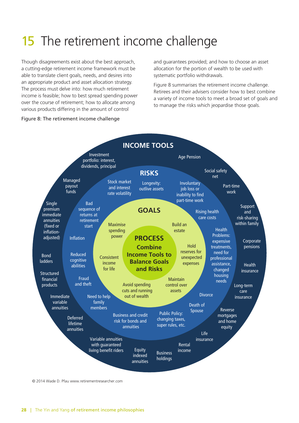## 15 The retirement income challenge

Though disagreements exist about the best approach, a cutting-edge retirement income framework must be able to translate client goals, needs, and desires into an appropriate product and asset allocation strategy. The process must delve into: how much retirement income is feasible; how to best spread spending power over the course of retirement; how to allocate among various products differing in the amount of control

and guarantees provided; and how to choose an asset allocation for the portion of wealth to be used with systematic portfolio withdrawals.

Figure 8 summarises the retirement income challenge. Retirees and their advisers consider how to best combine a variety of income tools to meet a broad set of goals and to manage the risks which jeopardise those goals.

#### Figure 8: The retirement income challenge



© 2014 Wade D. Pfau www.retirementresearcher.com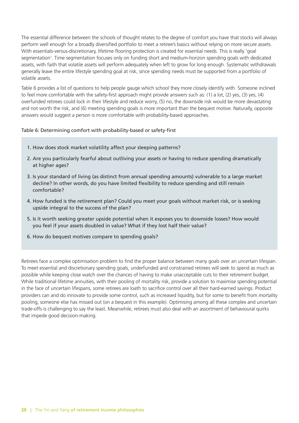The essential difference between the schools of thought relates to the degree of comfort you have that stocks will always perform well enough for a broadly diversified portfolio to meet a retiree's basics without relying on more secure assets. With essentials-versus-discretionary, lifetime flooring protection is created for essential needs. This is really 'goal segmentation'. Time segmentation focuses only on funding short and medium-horizon spending goals with dedicated assets, with faith that volatile assets will perform adequately when left to grow for long enough. Systematic withdrawals generally leave the entire lifestyle spending goal at risk, since spending needs must be supported from a portfolio of volatile assets.

Table 6 provides a list of questions to help people gauge which school they more closely identify with. Someone inclined to feel more comfortable with the safety-first approach might provide answers such as: (1) a lot, (2) yes, (3) yes, (4) overfunded retirees could lock in their lifestyle and reduce worry, (5) no, the downside risk would be more devastating and not worth the risk, and (6) meeting spending goals is more important than the bequest motive. Naturally, opposite answers would suggest a person is more comfortable with probability-based approaches.

#### Table 6: Determining comfort with probability-based or safety-first

- 1. How does stock market volatility affect your sleeping patterns?
- 2. Are you particularly fearful about outliving your assets or having to reduce spending dramatically at higher ages?
- 3. Is your standard of living (as distinct from annual spending amounts) vulnerable to a large market decline? In other words, do you have limited flexibility to reduce spending and still remain comfortable?
- 4. How funded is the retirement plan? Could you meet your goals without market risk, or is seeking upside integral to the success of the plan?
- 5. Is it worth seeking greater upside potential when it exposes you to downside losses? How would you feel if your assets doubled in value? What if they lost half their value?
- 6. How do bequest motives compare to spending goals?

Retirees face a complex optimisation problem to find the proper balance between many goals over an uncertain lifespan. To meet essential and discretionary spending goals, underfunded and constrained retirees will seek to spend as much as possible while keeping close watch over the chances of having to make unacceptable cuts to their retirement budget. While traditional lifetime annuities, with their pooling of mortality risk, provide a solution to maximise spending potential in the face of uncertain lifespans, some retirees are loath to sacrifice control over all their hard-earned savings. Product providers can and do innovate to provide some control, such as increased liquidity, but for some to benefit from mortality pooling, someone else has missed out (on a bequest in this example). Optimising among all these complex and uncertain trade-offs is challenging to say the least. Meanwhile, retirees must also deal with an assortment of behavioural quirks that impede good decision-making.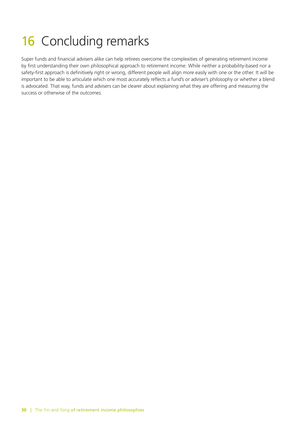## 16 Concluding remarks

Super funds and financial advisers alike can help retirees overcome the complexities of generating retirement income by first understanding their own philosophical approach to retirement income. While neither a probability-based nor a safety-first approach is definitively right or wrong, different people will align more easily with one or the other. It will be important to be able to articulate which one most accurately reflects a fund's or adviser's philosophy or whether a blend is advocated. That way, funds and advisers can be clearer about explaining what they are offering and measuring the success or otherwise of the outcomes.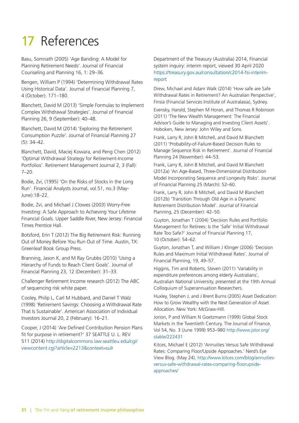## 17 References

Basu, Somnath (2005) 'Age Banding: A Model for Planning Retirement Needs'. Journal of Financial Counseling and Planning 16, 1: 29–36.

Bengen, William P (1994) 'Determining Withdrawal Rates Using Historical Data'. Journal of Financial Planning 7, 4 (October): 171–180.

Blanchett, David M (2013) 'Simple Formulas to Implement Complex Withdrawal Strategies'. Journal of Financial Planning 26, 9 (September): 40–48.

Blanchett, David M (2014) 'Exploring the Retirement Consumption Puzzle'. Journal of Financial Planning 27 (5): 34–42.

Blanchett, David, Maciej Kowara, and Peng Chen (2012) 'Optimal Withdrawal Strategy for Retirement-Income Portfolios'. Retirement Management Journal 2, 3 (Fall): 7–20.

Bodie, Zvi, (1995) 'On the Risks of Stocks in the Long Run'. Financial Analysts Journal, vol.51, no.3 (May-June):18–22.

Bodie, Zvi, and Michael J Clowes (2003) Worry-Free Investing: A Safe Approach to Achieving Your Lifetime Financial Goals. Upper Saddle River, New Jersey: Financial Times Prentice Hall.

Botsford, Erin T (2012) The Big Retirement Risk: Running Out of Money Before You Run Out of Time. Austin, TX: Greenleaf Book Group Press.

Branning, Jason K, and M Ray Grubbs (2010) 'Using a Hierarchy of Funds to Reach Client Goals'. Journal of Financial Planning 23, 12 (December): 31–33.

Challenger Retirement Income research (2012) The ABC of sequencing risk white paper.

Cooley, Philip L, Carl M Hubbard, and Daniel T Walz (1998) 'Retirement Savings: Choosing a Withdrawal Rate That Is Sustainable'. American Association of Individual Investors Journal 20, 2 (February): 16–21.

Cooper, J (2014) 'Are Defined Contribution Pension Plans fit for purpose in retirement?' 37 SEATTLE U. L. REV. 511 (2014) [http://digitalcommons.law.seattleu.edu/cgi/](http://digitalcommons.law.seattleu.edu/cgi/viewcontent.cgi?article=2213&context=sulr) [viewcontent.cgi?article=2213&context=sulr](http://digitalcommons.law.seattleu.edu/cgi/viewcontent.cgi?article=2213&context=sulr)

Department of the Treasury (Australia) 2014, Financial system inquiry: interim report, viewed 30 April 2020 [https://treasury.gov.au/consultation/c2014-fsi-interim](https://treasury.gov.au/consultation/c2014-fsi-interim-report)[report](https://treasury.gov.au/consultation/c2014-fsi-interim-report)

Drew, Michael and Adam Walk (2014) 'How safe are Safe Withdrawal Rates in Retirement? An Australian Perspective', Finsia (Financial Services Institute of Australasia), Sydney.

Evensky, Harold, Stephen M Horan, and Thomas R Robinson (2011) 'The New Wealth Management: The Financial Advisor's Guide to Managing and Investing Client Assets'. Hoboken, New Jersey: John Wiley and Sons.

Frank, Larry R, John B Mitchell, and David M Blanchett (2011) 'Probability-of-Failure-Based Decision Rules to Manage Sequence Risk in Retirement'. Journal of Financial Planning 24 (November): 44–53.

Frank, Larry R, John B Mitchell, and David M Blanchett (2012a) 'An Age-Based, Three-Dimensional Distribution Model Incorporating Sequence and Longevity Risks'. Journal of Financial Planning 25 (March): 52–60.

Frank, Larry R, John B Mitchell, and David M Blanchett (2012b) 'Transition Through Old Age in a Dynamic Retirement Distribution Model'. Journal of Financial Planning, 25 (December): 42–50.

Guyton, Jonathan T (2004) 'Decision Rules and Portfolio Management for Retirees: Is the 'Safe' Initial Withdrawal Rate Too Safe?' Journal of Financial Planning 17, 10 (October): 54–62.

Guyton, Jonathan T, and William J Klinger (2006) 'Decision Rules and Maximum Initial Withdrawal Rates'. Journal of Financial Planning, 19, 49–57.

Higgins, Tim and Roberts, Steven (2011) 'Variability in expenditure preferences among elderly Australians', Australian National University, presented at the 19th Annual Colloquium of Superannuation Researchers.

Huxley, Stephen J, and J Brent Burns (2005) Asset Dedication: How to Grow Wealthy with the Next Generation of Asset Allocation. New York: McGraw-Hill.

Jorion, P and William N Goetzmann (1999) Global Stock Markets in the Twentieth Century, The Journal of Finance, Vol 54, No. 3 (June 1999) 953–980 [http://www.jstor.org/](http://www.jstor.org/stable/222431) [stable/222431](http://www.jstor.org/stable/222431)

Kitces, Michael E (2012) 'Annuities Versus Safe Withdrawal Rates: Comparing Floor/Upside Approaches.' Nerd's Eye View Blog. (May 24). [http://www.kitces.com/blog/annuities](http://www.kitces.com/blog/annuities-versus-safe-withdrawal-rates-comparing-floorupside-approaches/)[versus-safe-withdrawal-rates-comparing-floorupside](http://www.kitces.com/blog/annuities-versus-safe-withdrawal-rates-comparing-floorupside-approaches/)[approaches/](http://www.kitces.com/blog/annuities-versus-safe-withdrawal-rates-comparing-floorupside-approaches/)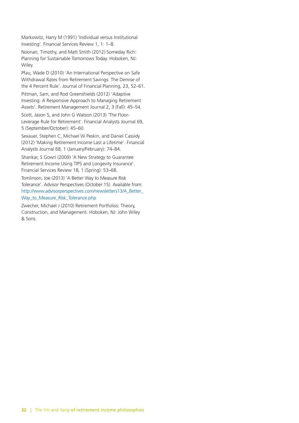Markowitz, Harry M (1991) 'Individual versus Institutional Investing'. Financial Services Review 1, 1: 1–8.

Noonan, Timothy, and Matt Smith (2012) Someday Rich: Planning for Sustainable Tomorrows Today. Hoboken, NJ: Wiley.

Pfau, Wade D (2010) 'An International Perspective on Safe Withdrawal Rates from Retirement Savings: The Demise of the 4 Percent Rule'. Journal of Financial Planning, 23, 52–61.

Pittman, Sam, and Rod Greenshields (2012) 'Adaptive Investing: A Responsive Approach to Managing Retirement Assets'. Retirement Management Journal 2, 3 (Fall): 45–54.

Scott, Jason S, and John G Watson (2013) 'The Floor-Leverage Rule for Retirement'. Financial Analysts Journal 69, 5 (September/October): 45–60.

Sexauer, Stephen C, Michael W Peskin, and Daniel Cassidy (2012) 'Making Retirement Income Last a Lifetime'. Financial Analysts Journal 68, 1 (January/February): 74–84.

Shankar, S Gowri (2009) 'A New Strategy to Guarantee Retirement Income Using TIPS and Longevity Insurance'. Financial Services Review 18, 1 (Spring): 53–68.

Tomlinson, Joe (2013) 'A Better Way to Measure Risk Tolerance'. Advisor Perspectives (October 15). Available from: [http://www.advisorperspectives.com/newsletters13/A\\_Better\\_](http://www.advisorperspectives.com/newsletters13/A_Better_Way_to_Measure_Risk_Tolerance.php) [Way\\_to\\_Measure\\_Risk\\_Tolerance.php](http://www.advisorperspectives.com/newsletters13/A_Better_Way_to_Measure_Risk_Tolerance.php)

Zwecher, Michael J (2010) Retirement Portfolios: Theory, Construction, and Management. Hoboken, NJ: John Wiley & Sons.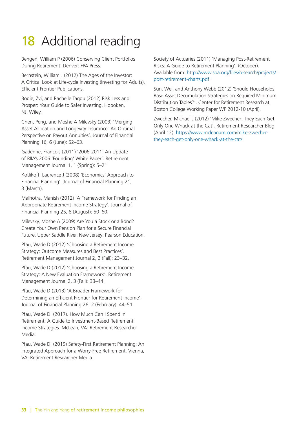## 18 Additional reading

Bengen, William P (2006) Conserving Client Portfolios During Retirement. Denver: FPA Press.

Bernstein, William J (2012) The Ages of the Investor: A Critical Look at Life-cycle Investing (Investing for Adults). Efficient Frontier Publications.

Bodie, Zvi, and Rachelle Taqqu (2012) Risk Less and Prosper: Your Guide to Safer Investing. Hoboken, NJ: Wiley.

Chen, Peng, and Moshe A Milevsky (2003) 'Merging Asset Allocation and Longevity Insurance: An Optimal Perspective on Payout Annuities'. Journal of Financial Planning 16, 6 (June): 52–63.

Gadenne, Francois (2011) '2006-2011: An Update of RIIA's 2006 'Founding' White Paper'. Retirement Management Journal 1, 1 (Spring): 5–21.

Kotlikoff, Laurence J (2008) 'Economics' Approach to Financial Planning'. Journal of Financial Planning 21, 3 (March).

Malhotra, Manish (2012) 'A Framework for Finding an Appropriate Retirement Income Strategy'. Journal of Financial Planning 25, 8 (August): 50–60.

Milevsky, Moshe A (2009) Are You a Stock or a Bond? Create Your Own Pension Plan for a Secure Financial Future. Upper Saddle River, New Jersey: Pearson Education.

Pfau, Wade D (2012) 'Choosing a Retirement Income Strategy: Outcome Measures and Best Practices'. Retirement Management Journal 2, 3 (Fall): 23–32.

Pfau, Wade D (2012) 'Choosing a Retirement Income Strategy: A New Evaluation Framework'. Retirement Management Journal 2, 3 (Fall): 33–44.

Pfau, Wade D (2013) 'A Broader Framework for Determining an Efficient Frontier for Retirement Income'. Journal of Financial Planning 26, 2 (February): 44–51.

Pfau, Wade D. (2017). How Much Can I Spend in Retirement: A Guide to Investment-Based Retirement Income Strategies. McLean, VA: Retirement Researcher Media.

Pfau, Wade D. (2019) Safety-First Retirement Planning: An Integrated Approach for a Worry-Free Retirement. Vienna, VA: Retirement Researcher Media.

Society of Actuaries (2011) 'Managing Post-Retirement Risks: A Guide to Retirement Planning'. (October). Available from: [http://www.soa.org/files/research/projects/](http://www.soa.org/files/research/projects/post-retirement-charts.pdf) [post-retirement-charts.pdf.](http://www.soa.org/files/research/projects/post-retirement-charts.pdf)

Sun, Wei, and Anthony Webb (2012) 'Should Households Base Asset Decumulation Strategies on Required Minimum Distribution Tables?'. Center for Retirement Research at Boston College Working Paper WP 2012-10 (April).

Zwecher, Michael J (2012) 'Mike Zwecher: They Each Get Only One Whack at the Cat'. Retirement Researcher Blog (April 12). [https://www.mcleanam.com/mike-zwecher](https://www.mcleanam.com/mike-zwecher-they-each-get-only-one-whack-at-the-cat/)[they-each-get-only-one-whack-at-the-cat/](https://www.mcleanam.com/mike-zwecher-they-each-get-only-one-whack-at-the-cat/)